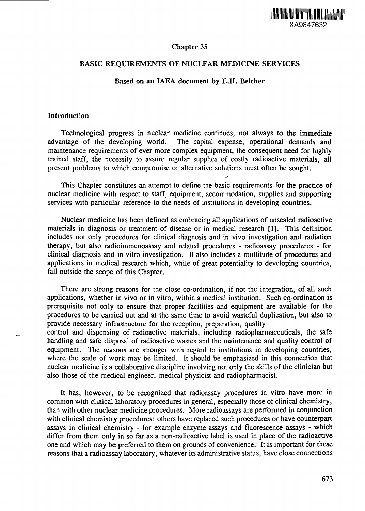

# Chapter 35

# BASIC REQUIREMENTS OF NUCLEAR MEDICINE SERVICES

### Based on an IAEA document by E.H. Belcher

### Introduction

Technological progress in nuclear medicine continues, not always to the immediate advantage of the developing world. The capital expense, operational demands and maintenance requirements of ever more complex equipment, the consequent need for highly trained staff, the necessity to assure regular supplies of costly radioactive materials, all present problems to which compromise or alternative solutions must often be sought.

This Chapter constitutes an attempt to define the basic requirements for the practice of nuclear medicine with respect to staff, equipment, accommodation, supplies and supporting services with particular reference to the needs of institutions in developing countries.

Nuclear medicine has been defined as embracing all applications of unsealed radioactive materials in diagnosis or treatment of disease or in medical research [1]. This definition includes not only procedures for clinical diagnosis and in vivo investigation and radiation therapy, but also radioimmunoassay and related procedures - radioassay procedures - for clinical diagnosis and in vitro investigation. It also includes a multitude of procedures and applications in medical research which, while of great potentiality to developing countries, fall outside the scope of this Chapter.

There are strong reasons for the close co-ordination, if not the integration, of all such applications, whether in vivo or in vitro, within a medical institution. Such co-ordination is prerequisite not only to ensure that proper facilities and equipment are available for the procedures to be carried out and at the same time to avoid wasteful duplication, but also to provide necessary infrastructure for the reception, preparation, quality

control and dispensing of radioactive materials, including radiopharmaceuticals, the safe handling and safe disposal of radioactive wastes and the maintenance and quality control of equipment. The reasons are stronger with regard to institutions in developing countries, where the scale of work may be limited. It should be emphasized in this connection that nuclear medicine is a collaborative discipline involving not only the skills of the clinician but also those of the medical engineer, medical physicist and radiopharmacist.

It has, however, to be recognized that radioassay procedures in vitro have more in common with clinical laboratory procedures in general, especially those of clinical chemistry, than with other nuclear medicine procedures. More radioassays are performed in conjunction with clinical chemistry procedures; others have replaced such procedures or have counterpart assays in clinical chemistry - for example enzyme assays and fluorescence assays - which differ from them only in so far as a non-radioactive label is used in place of the radioactive one and which may be preferred to them on grounds of convenience. It is important for these reasons that a radioassay laboratory, whatever its administrative status, have close connections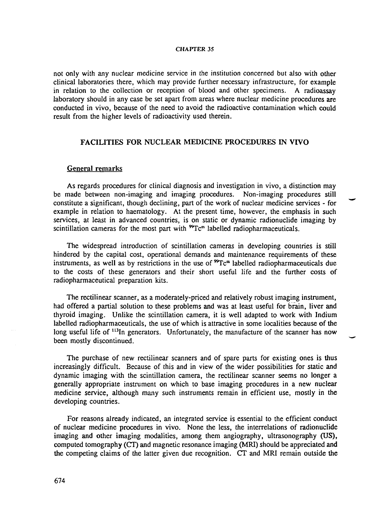not only with any nuclear medicine service in the institution concerned but also with other clinical laboratories there, which may provide further necessary infrastructure, for example in relation to the collection or reception of blood and other specimens. A radioassay laboratory should in any case be set apart from areas where nuclear medicine procedures are conducted in vivo, because of the need to avoid the radioactive contamination which could result from the higher levels of radioactivity used therein.

# **FACILITIES FOR NUCLEAR MEDICINE PROCEDURES IN VIVO**

# General remarks

As regards procedures for clinical diagnosis and investigation in vivo, a distinction may be made between non-imaging and imaging procedures. Non-imaging procedures still constitute a significant, though declining, part of the work of nuclear medicine services - for example in relation to haematology. At the present time, however, the emphasis in such services, at least in advanced countries, is on static or dynamic radionuclide imaging by scintillation cameras for the most part with <sup>99</sup>Tc<sup>m</sup> labelled radiopharmaceuticals.

The widespread introduction of scintillation cameras in developing countries is still hindered by the capital cost, operational demands and maintenance requirements of these instruments, as well as by restrictions in the use of "Tc™ labelled radiopharmaceuticals due to the costs of these generators and their short useful life and the further costs of radiopharmaceutical preparation kits.

The rectilinear scanner, as a moderately-priced and relatively robust imaging instrument, had offered a partial solution to these problems and was at least useful for brain, liver and thyroid imaging. Unlike the scintillation camera, it is well adapted to work with Indium labelled radiopharmaceuticals, the use of which is attractive in some localities because of the long useful life of <sup>113</sup>In generators. Unfortunately, the manufacture of the scanner has now been mostly discontinued.

The purchase of new rectilinear scanners and of spare parts for existing ones is thus increasingly difficult. Because of this and in view of the wider possibilities for static and dynamic imaging with the scintillation camera, the rectilinear scanner seems no longer a generally appropriate instrument on which to base imaging procedures in a new nuclear medicine service, although many such instruments remain in efficient use, mostly in the developing countries.

For reasons already indicated, an integrated service is essential to the efficient conduct of nuclear medicine procedures in vivo. None the less, the interrelations of radionuclide imaging and other imaging modalities, among them angiography, ultrasonography (US), computed tomography (CT) and magnetic resonance imaging (MRI) should be appreciated and the competing claims of the latter given due recognition. CT and MRI remain outside the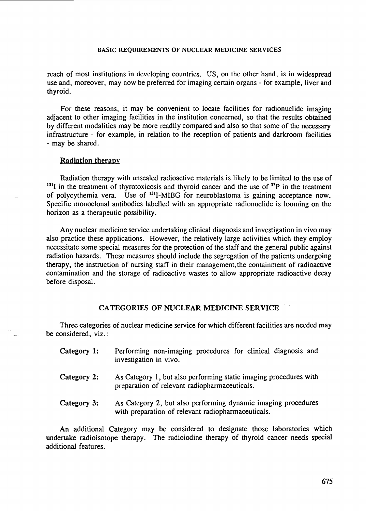reach of most institutions in developing countries. US, on the other hand, is in widespread use and, moreover, may now be preferred for imaging certain organs - for example, liver and thyroid.

For these reasons, it may be convenient to locate facilities for radionuclide imaging adjacent to other imaging facilities in the institution concerned, so that the results obtained by different modalities may be more readily compared and also so that some of the necessary infrastructure - for example, in relation to the reception of patients and darkroom facilities - may be shared.

# Radiation therapy

Radiation therapy with unsealed radioactive materials is likely to be limited to the use of  $131I$  in the treatment of thyrotoxicosis and thyroid cancer and the use of  $32P$  in the treatment of polycythemia vera. Use of <sup>131</sup>I-MIBG for neuroblastoma is gaining acceptance now. Specific monoclonal antibodies labelled with an appropriate radionuclide is looming on the horizon as a therapeutic possibility.

Any nuclear medicine service undertaking clinical diagnosis and investigation in vivo may also practice these applications. However, the relatively large activities which they employ necessitate some special measures for the protection of the staff and the general public against radiation hazards. These measures should include the segregation of the patients undergoing therapy, the instruction of nursing staff in their management,the containment of radioactive contamination and the storage of radioactive wastes to allow appropriate radioactive decay before disposal.

# CATEGORIES OF NUCLEAR MEDICINE SERVICE

Three categories of nuclear medicine service for which different facilities are needed may be considered, viz.:

| Category 1: | Performing non-imaging procedures for clinical diagnosis and<br>investigation in vivo.                             |
|-------------|--------------------------------------------------------------------------------------------------------------------|
| Category 2: | As Category 1, but also performing static imaging procedures with<br>preparation of relevant radiopharmaceuticals. |

Category 3: As Category 2, but also performing dynamic imaging procedures with preparation of relevant radiopharmaceuticals.

An additional Category may be considered to designate those laboratories which undertake radioisotope therapy. The radioiodine therapy of thyroid cancer needs special additional features.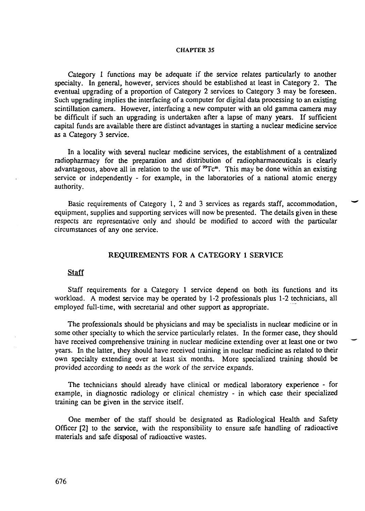Category 1 functions may be adequate if the service relates particularly to another specialty. In general, however, services should be established at least in Category 2. The eventual upgrading of a proportion of Category 2 services to Category 3 may be foreseen. Such upgrading implies the interfacing of a computer for digital data processing to an existing scintillation camera. However, interfacing a new computer with an old gamma camera may be difficult if such an upgrading is undertaken after a lapse of many years. If sufficient capital funds are available there are distinct advantages in starting a nuclear medicine service as a Category 3 service.

In a locality with several nuclear medicine services, the establishment of a centralized radiopharmacy for the preparation and distribution of radiopharmaceuticals is clearly advantageous, above all in relation to the use of  ${}^{99}Tc<sup>m</sup>$ . This may be done within an existing service or independently - for example, in the laboratories of a national atomic energy authority.

Basic requirements of Category 1, 2 and 3 services as regards staff, accommodation, equipment, supplies and supporting services will now be presented. The details given in these respects are representative only and should be modified to accord with the particular circumstances of any one service.

# **REQUIREMENTS FOR A CATEGORY 1 SERVICE**

### **Staff**

Staff requirements for a Category 1 service depend on both its functions and its workload. A modest service may be operated by 1-2 professionals plus 1-2 technicians, all employed full-time, with secretarial and other support as appropriate.

The professionals should be physicians and may be specialists in nuclear medicine or in some other specialty to which the service particularly relates. In the former case, they should have received comprehensive training in nuclear medicine extending over at least one or two years. In the latter, they should have received training in nuclear medicine as related to their own specialty extending over at least six months. More specialized training should be provided according to needs as the work of the service expands.

The technicians should already have clinical or medical laboratory experience - for example, in diagnostic radiology or clinical chemistry - in which case their specialized training can be given in the service itself.

One member of the staff should be designated as Radiological Health and Safety Officer [2] to the service, with the responsibility to ensure safe handling of radioactive materials and safe disposal of radioactive wastes.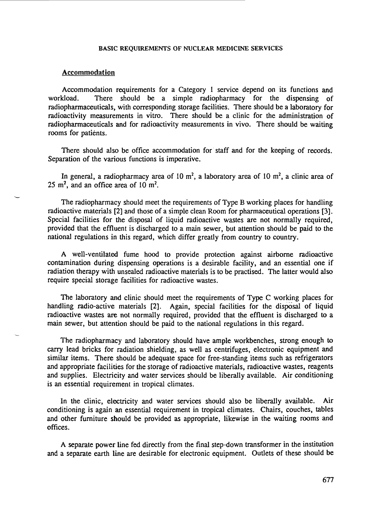#### Accommodation

Accommodation requirements for a Category 1 service depend on its functions and workload. There should be a simple radiopharmacy for the dispensing of radiopharmaceuticals, with corresponding storage facilities. There should be a laboratory for radioactivity measurements in vitro. There should be a clinic for the administration of radiopharmaceuticals and for radioactivity measurements in vivo. There should be waiting rooms for patients.

There should also be office accommodation for staff and for the keeping of records. Separation of the various functions is imperative.

In general, a radiopharmacy area of 10 m<sup>2</sup>, a laboratory area of 10 m<sup>2</sup>, a clinic area of 25  $m^2$ , and an office area of 10 m<sup>2</sup>.

The radiopharmacy should meet the requirements of Type B working places for handling radioactive materials [2] and those of a simple clean Room for pharmaceutical operations [3]. Special facilities for the disposal of liquid radioactive wastes are not normally required, provided that the effluent is discharged to a main sewer, but attention should be paid to the national regulations in this regard, which differ greatly from country to country.

A well-ventilated fume hood to provide protection against airborne radioactive contamination during dispensing operations is a desirable facility, and an essential one if radiation therapy with unsealed radioactive materials is to be practised. The latter would also require special storage facilities for radioactive wastes.

The laboratory and clinic should meet the requirements of Type C working places for handling radio-active materials [2]. Again, special facilities for the disposal of liquid radioactive wastes are not normally required, provided that the effluent is discharged to a main sewer, but attention should be paid to the national regulations in this regard.

The radiopharmacy and laboratory should have ample workbenches, strong enough to carry lead bricks for radiation shielding, as well as centrifuges, electronic equipment and similar items. There should be adequate space for free-standing items such as refrigerators and appropriate facilities for the storage of radioactive materials, radioactive wastes, reagents and supplies. Electricity and water services should be liberally available. Air conditioning is an essential requirement in tropical climates.

In the clinic, electricity and water services should also be liberally available. Air conditioning is again an essential requirement in tropical climates. Chairs, couches, tables and other furniture should be provided as appropriate, likewise in the waiting rooms and offices.

A separate power line fed directly from the final step-down transformer in the institution and a separate earth line are desirable for electronic equipment. Outlets of these should be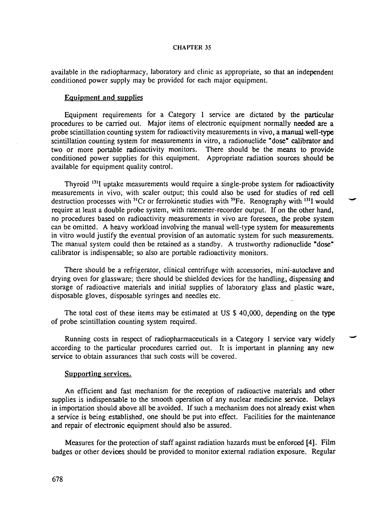available in the radiopharmacy, laboratory and clinic as appropriate, so that an independent conditioned power supply may be provided for each major equipment.

### Equipment and supplies

Equipment requirements for a Category 1 service are dictated by the particular procedures to be carried out. Major items of electronic equipment normally needed are a probe scintillation counting system for radioactivity measurements in vivo, a manual well-type scintillation counting system for measurements in vitro, a radionuclide "dose" calibrator and two or more portable radioactivity monitors. There should be the means to provide conditioned power supplies for this equipment. Appropriate radiation sources should be available for equipment quality control.

Thyroid <sup>131</sup>I uptake measurements would require a single-probe system for radioactivity measurements in vivo, with sealer output; this could also be used for studies of red cell destruction processes with <sup>51</sup>Cr or ferrokinetic studies with <sup>59</sup>Fe. Renography with <sup>131</sup>I would require at least a double probe system, with ratemeter-recorder output. If on the other hand, no procedures based on radioactivity measurements in vivo are foreseen, the probe system can be omitted. A heavy workload involving the manual well-type system for measurements in vitro would justify the eventual provision of an automatic system for such measurements. The manual system could then be retained as a standby. A trustworthy radionuclide "dose" calibrator is indispensable; so also are portable radioactivity monitors.

There should be a refrigerator, clinical centrifuge with accessories, mini-autoclave and drying oven for glassware; there should be shielded devices for the handling, dispensing and storage of radioactive materials and initial supplies of laboratory glass and plastic ware, disposable gloves, disposable syringes and needles etc.

The total cost of these items may be estimated at US \$ 40,000, depending on the type of probe scintillation counting system required.

Running costs in respect of radiopharmaceuticals in a Category 1 service vary widely according to the particular procedures carried out. It is important in planning any new service to obtain assurances that such costs will be covered.

### Supporting services.

An efficient and fast mechanism for the reception of radioactive materials and other supplies is indispensable to the smooth operation of any nuclear medicine service. Delays in importation should above all be avoided. If such a mechanism does not already exist when a service is being established, one should be put into effect. Facilities for the maintenance and repair of electronic equipment should also be assured.

Measures for the protection of staff against radiation hazards must be enforced [4]. Film badges or other devices should be provided to monitor external radiation exposure. Regular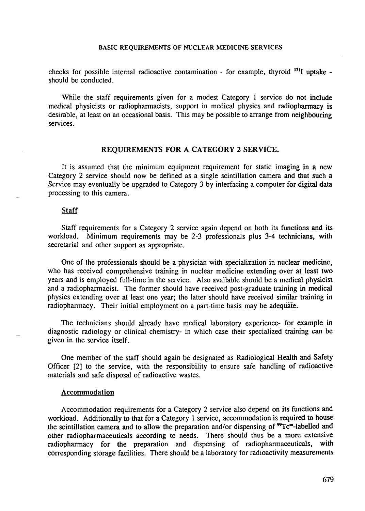checks for possible internal radioactive contamination - for example, thyroid <sup>131</sup>I uptake should be conducted.

While the staff requirements given for a modest Category 1 service do not include medical physicists or radiopharmacists, support in medical physics and radiopharmacy is desirable, at least on an occasional basis. This may be possible to arrange from neighbouring services.

# **REQUIREMENTS FOR A CATEGORY 2 SERVICE.**

It is assumed that the minimum equipment requirement for static imaging in a new Category 2 service should now be defined as a single scintillation camera and that such a Service may eventually be upgraded to Category 3 by interfacing a computer for digital data processing to this camera.

# Staff

Staff requirements for a Category 2 service again depend on both its functions and its workload. Minimum requirements may be 2-3 professionals plus 3-4 technicians, with secretarial and other support as appropriate.

One of the professionals should be a physician with specialization in nuclear medicine, who has received comprehensive training in nuclear medicine extending over at least two years and is employed full-time in the service. Also available should be a medical physicist and a radiopharmacist. The former should have received post-graduate training in medical physics extending over at least one year; the latter should have received similar training in radiopharmacy. Their initial employment on a part-time basis may be adequate.

The technicians should already have medical laboratory experience- for example in diagnostic radiology or clinical chemistry- in which case their specialized training can be given in the service itself.

One member of the staff should again be designated as Radiological Health and Safety Officer [2] to the service, with the responsibility to ensure safe handling of radioactive materials and safe disposal of radioactive wastes.

#### **Accommodation**

Accommodation requirements for a Category 2 service also depend on its functions and workload. Additionally to that for a Category 1 service, accommodation is required to house the scintillation camera and to allow the preparation and/or dispensing of <sup>99</sup>Tc<sup>m</sup>-labelled and other radiopharmaceuticals according to needs. There should thus be a more extensive radiopharmacy for the preparation and dispensing of radiopharmaceuticals, with corresponding storage facilities. There should be a laboratory for radioactivity measurements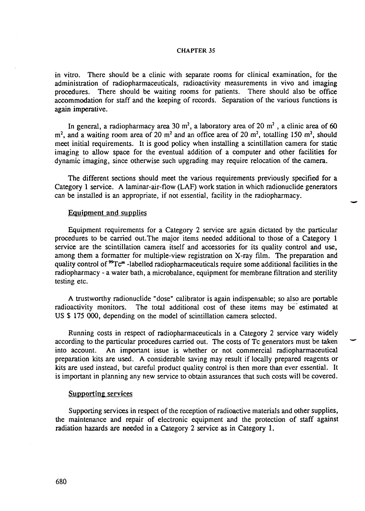in vitro. There should be a clinic with separate rooms for clinical examination, for the administration of radiopharmaceuticals, radioactivity measurements in vivo and imaging procedures. There should be waiting rooms for patients. There should also be office accommodation for staff and the keeping of records. Separation of the various functions is again imperative.

In general, a radiopharmacy area 30 m<sup>2</sup>, a laboratory area of 20 m<sup>2</sup>, a clinic area of 60  $m^2$ , and a waiting room area of 20 m<sup>2</sup> and an office area of 20 m<sup>2</sup>, totalling 150 m<sup>2</sup>, should meet initial requirements. It is good policy when installing a scintillation camera for static imaging to allow space for the eventual addition of a computer and other facilities for dynamic imaging, since otherwise such upgrading may require relocation of the camera.

The different sections should meet the various requirements previously specified for a Category 1 service. A laminar-air-flow (LAF) work station in which radionuclide generators can be installed is an appropriate, if not essential, facility in the radiopharmacy.

### Equipment and supplies

Equipment requirements for a Category 2 service are again dictated by the particular procedures to be carried out.The major items needed additional to those of a Category 1 service are the scintillation camera itself and accessories for its quality control and use, among them a formatter for multiple-view registration on X-ray film. The preparation and quality control of <sup>99</sup>Tc<sup>m</sup>-labelled radiopharmaceuticals require some additional facilities in the radiopharmacy - a water bath, a microbalance, equipment for membrane filtration and sterility testing etc.

A trustworthy radionuclide "dose" calibrator is again indispensable; so also are portable radioactivity monitors. The total additional cost of these items may be estimated at US \$ 175 000, depending on the model of scintillation camera selected.

Running costs in respect of radiopharmaceuticals in a Category 2 service vary widely according to the particular procedures carried out. The costs of Tc generators must be taken into account. An important issue is whether or not commercial radiopharmaceutical preparation kits are used. A considerable saving may result if locally prepared reagents or kits are used instead, but careful product quality control is then more than ever essential. It is important in planning any new service to obtain assurances that such costs will be covered.

### Supporting services

Supporting services in respect of the reception of radioactive materials and other supplies, the maintenance and repair of electronic equipment and the protection of staff against radiation hazards are needed in a Category 2 service as in Category 1.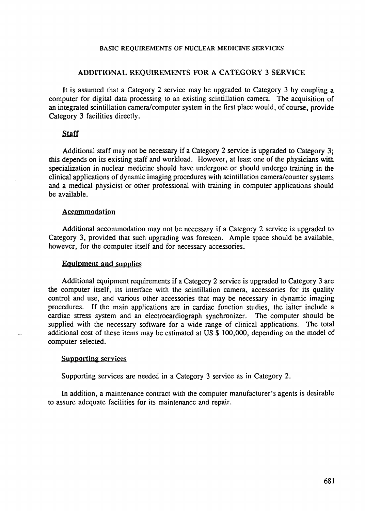### ADDITIONAL REQUIREMENTS FOR A CATEGORY 3 SERVICE

It is assumed that a Category 2 service may be upgraded to Category 3 by coupling a computer for digital data processing to an existing scintillation camera. The acquisition of an integrated scintillation camera/computer system in the first place would, of course, provide Category 3 facilities directly.

### **Staff**

Additional staff may not be necessary if a Category 2 service is upgraded to Category 3; this depends on its existing staff and workload. However, at least one of the physicians with specialization in nuclear medicine should have undergone or should undergo training in the clinical applications of dynamic imaging procedures with scintillation camera/counter systems and a medical physicist or other professional with training in computer applications should be available.

# Accommodation

Additional accommodation may not be necessary if a Category 2 service is upgraded to Category 3, provided that such upgrading was foreseen. Ample space should be available, however, for the computer itself and for necessary accessories.

### Equipment and supplies

Additional equipment requirements if a Category 2 service is upgraded to Category 3 are the computer itself, its interface with the scintillation camera, accessories for its quality control and use, and various other accessories that may be necessary in dynamic imaging procedures. If the main applications are in cardiac function studies, the latter include a cardiac stress system and an electrocardiograph synchronizer. The computer should be supplied with the necessary software for a wide range of clinical applications. The total additional cost of these items may be estimated at US \$ 100,000, depending on the model of computer selected.

## Supporting services

Supporting services are needed in a Category 3 service as in Category 2.

In addition, a maintenance contract with the computer manufacturer's agents is desirable to assure adequate facilities for its maintenance and repair.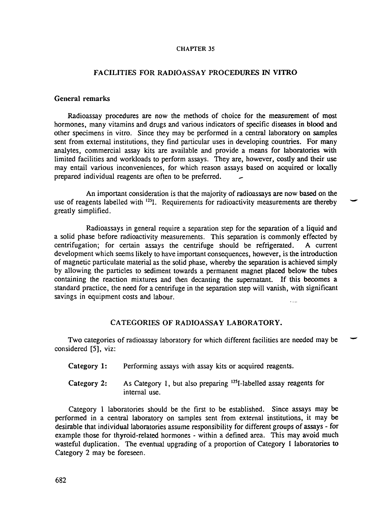# FACILITIES FOR RADIOASSAY PROCEDURES IN VITRO

# General remarks

Radioassay procedures are now the methods of choice for the measurement of most hormones, many vitamins and drugs and various indicators of specific diseases in blood and other specimens in vitro. Since they may be performed in a central laboratory on samples sent from external institutions, they find particular uses in developing countries. For many analytes, commercial assay kits are available and provide a means for laboratories with limited facilities and workloads to perform assays. They are, however, costly and their use may entail various inconveniences, for which reason assays based on acquired or locally prepared individual reagents are often to be preferred.

An important consideration is that the majority of radioassays are now based on the use of reagents labelled with <sup>125</sup>I. Requirements for radioactivity measurements are thereby greatly simplified.

Radioassays in general require a separation step for the separation of a liquid and a solid phase before radioactivity measurements. This separation is commonly effected by centrifugation; for certain assays the centrifuge should be refrigerated. A current development which seems likely to have important consequences, however, is the introduction of magnetic paniculate material as the solid phase, whereby the separation is achieved simply by allowing the particles to sediment towards a permanent magnet placed below the tubes containing the reaction mixtures and then decanting the supernatant. If this becomes a standard practice, the need for a centrifuge in the separation step will vanish, with significant savings in equipment costs and labour.  $\ddotsc$ 

### CATEGORIES OF RADIOASSAY LABORATORY.

Two categories of radioassay laboratory for which different facilities are needed may be considered [5], viz:

- Category 1: Performing assays with assay kits or acquired reagents.
- Category 2: As Category 1, but also preparing  $^{125}$ I-labelled assay reagents for internal use.

Category 1 laboratories should be the first to be established. Since assays may be performed in a central laboratory on samples sent from external institutions, it may be desirable that individual laboratories assume responsibility for different groups of assays - for example those for thyroid-related hormones - within a defined area. This may avoid much wasteful duplication. The eventual upgrading of a proportion of Category 1 laboratories to Category 2 may be foreseen.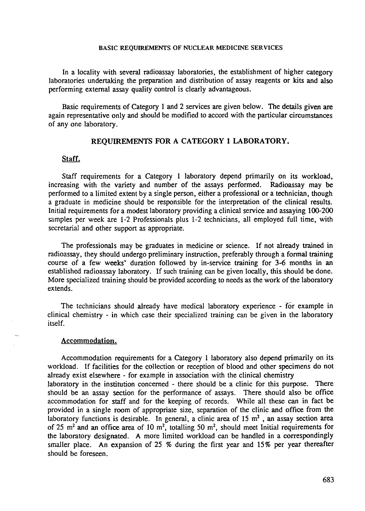In a locality with several radioassay laboratories, the establishment of higher category laboratories undertaking the preparation and distribution of assay reagents or kits and also performing external assay quality control is clearly advantageous.

Basic requirements of Category 1 and 2 services are given below. The details given are again representative only and should be modified to accord with the particular circumstances of any one laboratory.

# **REQUIREMENTS FOR A CATEGORY 1 LABORATORY.**

# **Staff.**

Staff requirements for a Category 1 laboratory depend primarily on its workload, increasing with the variety and number of the assays performed. Radioassay may be performed to a limited extent by a single person, either a professional or a technician, though a graduate in medicine should be responsible for the interpretation of the clinical results. Initial requirements for a modest laboratory providing a clinical service and assaying 100-200 samples per week are 1-2 Professionals plus 1-2 technicians, all employed full time, with secretarial and other support as appropriate.

The professionals may be graduates in medicine or science. If not already trained in radioassay, they should undergo preliminary instruction, preferably through a formal training course of a few weeks' duration followed by in-service training for 3-6 months in an established radioassay laboratory. If such training can be given locally, this should be done. More specialized training should be provided according to needs as the work of the laboratory extends.

The technicians should already have medical laboratory experience - for example in clinical chemistry - in which case their specialized training can be given in the laboratory itself.

#### Accommodation.

Accommodation requirements for a Category 1 laboratory also depend primarily on its workload. If facilities for the collection or reception of blood and other specimens do not already exist elsewhere - for example in association with the clinical chemistry laboratory in the institution concerned - there should be a clinic for this purpose. There should be an assay section for the performance of assays. There should also be office accommodation for staff and for the keeping of records. While all these can in fact be provided in a single room of appropriate size, separation of the clinic and office from the laboratory functions is desirable. In general, a clinic area of 15  $m<sup>2</sup>$ , an assay section area of 25 m<sup>2</sup> and an office area of 10 m<sup>2</sup>, totalling 50 m<sup>2</sup>, should meet Initial requirements for the laboratory designated. A more limited workload can be handled in a correspondingly smaller place. An expansion of 25 % during the first year and 15% per year thereafter should be foreseen.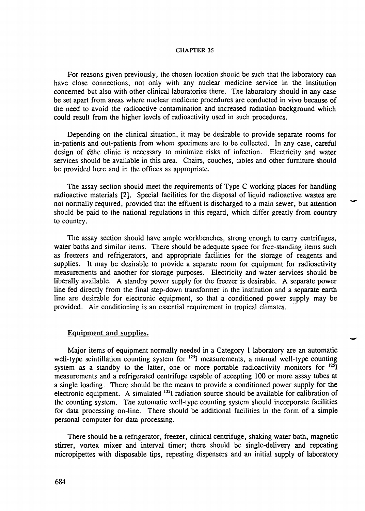For reasons given previously, the chosen location should be such that the laboratory can have close connections, not only with any nuclear medicine service in the institution concerned but also with other clinical laboratories there. The laboratory should in any case be set apart from areas where nuclear medicine procedures are conducted in vivo because of the need to avoid the radioactive contamination and increased radiation background which could result from the higher levels of radioactivity used in such procedures.

Depending on the clinical situation, it may be desirable to provide separate rooms for in-patients and out-patients from whom specimens are to be collected. In any case, careful design of @he clinic is necessary to minimize risks of infection. Electricity and water services should be available in this area. Chairs, couches, tables and other furniture should be provided here and in the offices as appropriate.

The assay section should meet the requirements of Type C working places for handling radioactive materials [2]. Special facilities for the disposal of liquid radioactive wastes are not normally required, provided that the effluent is discharged to a main sewer, but attention should be paid to the national regulations in this regard, which differ greatly from country to country.

The assay section should have ample workbenches, strong enough to carry centrifuges, water baths and similar items. There should be adequate space for free-standing items such as freezers and refrigerators, and appropriate facilities for the storage of reagents and supplies. It may be desirable to provide a separate room for equipment for radioactivity measurements and another for storage purposes. Electricity and water services should be liberally available. A standby power supply for the freezer is desirable. A separate power line fed directly from the final step-down transformer in the institution and a separate earth line are desirable for electronic equipment, so that a conditioned power supply may be provided. Air conditioning is an essential requirement in tropical climates.

# Equipment and supplies.

Major items of equipment normally needed in a Category 1 laboratory are an automatic well-type scintillation counting system for <sup>125</sup>I measurements, a manual well-type counting system as a standby to the latter, one or more portable radioactivity monitors for  $^{125}I$ measurements and a refrigerated centrifuge capable of accepting 100 or more assay tubes at a single loading. There should be the means to provide a conditioned power supply for the electronic equipment. A simulated <sup>125</sup>I radiation source should be available for calibration of the counting system. The automatic well-type counting system should incorporate facilities for data processing on-line. There should be additional facilities in the form of a simple personal computer for data processing.

There should be a refrigerator, freezer, clinical centrifuge, shaking water bath, magnetic stirrer, vortex mixer and interval timer; there should be single-delivery and repeating micropipettes with disposable tips, repeating dispensers and an initial supply of laboratory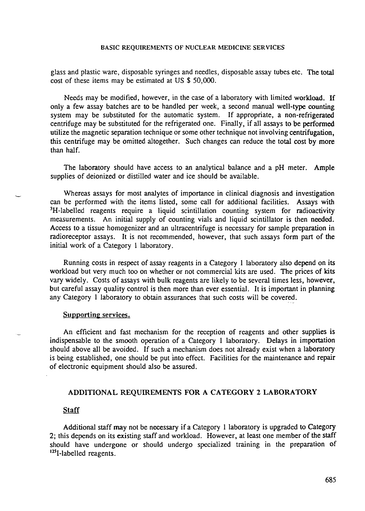glass and plastic ware, disposable syringes and needles, disposable assay tubes etc. The total cost of these items may be estimated at US \$ 50,000.

Needs may be modified, however, in the case of a laboratory with limited workload. If only a few assay batches are to be handled per week, a second manual well-type counting system may be substituted for the automatic system. If appropriate, a non-refrigerated centrifuge may be substituted for the refrigerated one. Finally, if all assays to be performed utilize the magnetic separation technique or some other technique not involving centrifugation, this centrifuge may be omitted altogether. Such changes can reduce the total cost by more than half.

The laboratory should have access to an analytical balance and a pH meter. Ample supplies of deionized or distilled water and ice should be available.

Whereas assays for most analytes of importance in clinical diagnosis and investigation can be performed with the items listed, some call for additional facilities. Assays with <sup>3</sup>H-labelled reagents require a liquid scintillation counting system for radioactivity measurements. An initial supply of counting vials and liquid scintillator is then needed. Access to a tissue homogenizer and an ultracentrifuge is necessary for sample preparation in radioreceptor assays. It is not recommended, however, that such assays form part of the initial work of a Category 1 laboratory.

Running costs in respect of assay reagents in a Category 1 laboratory also depend on its workload but very much too on whether or not commercial kits are used. The prices of kits vary widely. Costs of assays with bulk reagents are likely to be several times less, however, but careful assay quality control is then more than ever essential. It is important in planning any Category 1 laboratory to obtain assurances that such costs will be covered.

## Supporting services.

An efficient and fast mechanism for the reception of reagents and other supplies is indispensable to the smooth operation of a Category 1 laboratory. Delays in importation should above all be avoided. If such a mechanism does not already exist when a laboratory is being established, one should be put into effect. Facilities for the maintenance and repair of electronic equipment should also be assured.

#### ADDITIONAL REQUIREMENTS FOR A CATEGORY 2 LABORATORY

### **Staff**

Additional staff may not be necessary if a Category 1 laboratory is upgraded to Category 2; this depends on its existing staff and workload. However, at least one member of the staff should have undergone or should undergo specialized training in the preparation of  $125$ I-labelled reagents.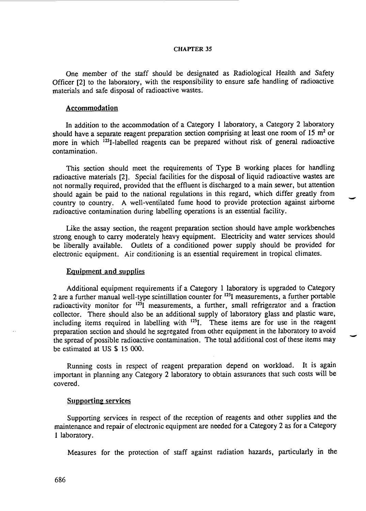One member of the staff should be designated as Radiological Health and Safety Officer [2] to the laboratory, with the responsibility to ensure safe handling of radioactive materials and safe disposal of radioactive wastes.

### Accommodation

In addition to the accommodation of a Category 1 laboratory, a Category 2 laboratory should have a separate reagent preparation section comprising at least one room of 15 m<sup>2</sup> or more in which <sup>125</sup>I-labelled reagents can be prepared without risk of general radioactive contamination.

This section should meet the requirements of Type B working places for handling radioactive materials [2]. Special facilities for the disposal of liquid radioactive wastes are not normally required, provided that the effluent is discharged to a main sewer, but attention should again be paid to the national regulations in this regard, which differ greatly from country to country. A well-ventilated fume hood to provide protection against airborne radioactive contamination during labelling operations is an essential facility.

Like the assay section, the reagent preparation section should have ample workbenches strong enough to carry moderately heavy equipment. Electricity and water services should be liberally available. Outlets of a conditioned power supply should be provided for electronic equipment. Air conditioning is an essential requirement in tropical climates.

### Equipment and supplies

Additional equipment requirements if a Category 1 laboratory is upgraded to Category 2 are a further manual well-type scintillation counter for <sup>125</sup>I measurements, a further portable radioactivity monitor for <sup>125</sup>I measurements, a further, small refrigerator and a fraction collector. There should also be an additional supply of laboratory glass and plastic ware, including items required in labelling with <sup>125</sup>I. These items are for use in the reagent preparation section and should he segregated from other equipment in the laboratory to avoid the spread of possible radioactive contamination. The total additional cost of these items may be estimated at US \$ 15 000.

Running costs in respect of reagent preparation depend on workload. It is again important in planning any Category 2 laboratory to obtain assurances that such costs will be covered.

#### Supporting services

Supporting services in respect of the reception of reagents and other supplies and the maintenance and repair of electronic equipment are needed for a Category 2 as for a Category 1 laboratory.

Measures for the protection of staff against radiation hazards, particularly in the